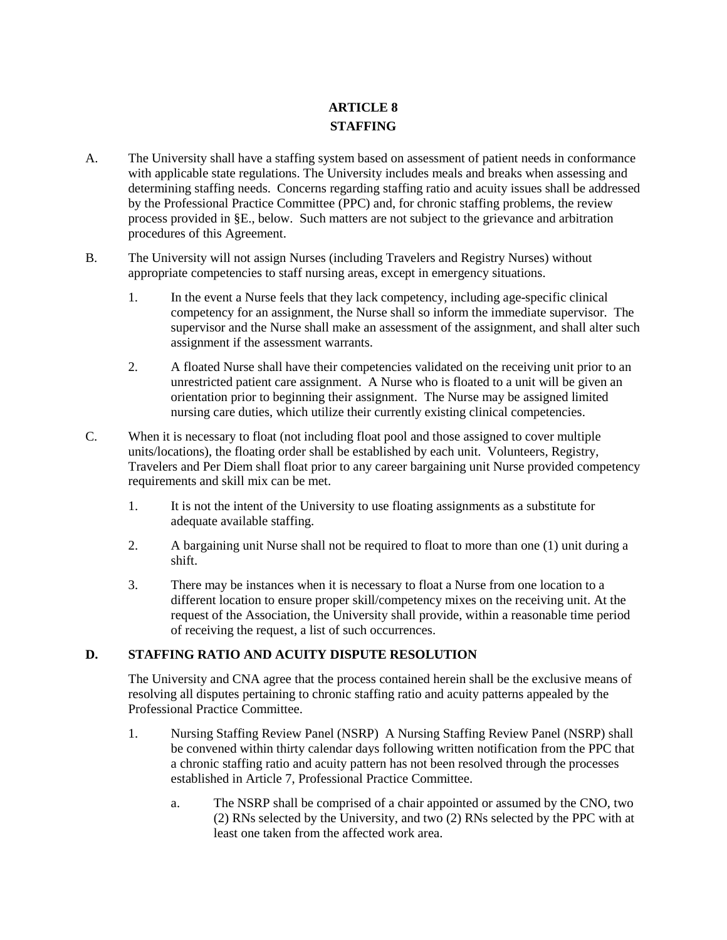## **ARTICLE 8 STAFFING**

- A. The University shall have a staffing system based on assessment of patient needs in conformance with applicable state regulations. The University includes meals and breaks when assessing and determining staffing needs. Concerns regarding staffing ratio and acuity issues shall be addressed by the Professional Practice Committee (PPC) and, for chronic staffing problems, the review process provided in §E., below. Such matters are not subject to the grievance and arbitration procedures of this Agreement.
- B. The University will not assign Nurses (including Travelers and Registry Nurses) without appropriate competencies to staff nursing areas, except in emergency situations.
	- 1. In the event a Nurse feels that they lack competency, including age-specific clinical competency for an assignment, the Nurse shall so inform the immediate supervisor. The supervisor and the Nurse shall make an assessment of the assignment, and shall alter such assignment if the assessment warrants.
	- 2. A floated Nurse shall have their competencies validated on the receiving unit prior to an unrestricted patient care assignment. A Nurse who is floated to a unit will be given an orientation prior to beginning their assignment. The Nurse may be assigned limited nursing care duties, which utilize their currently existing clinical competencies.
- C. When it is necessary to float (not including float pool and those assigned to cover multiple units/locations), the floating order shall be established by each unit. Volunteers, Registry, Travelers and Per Diem shall float prior to any career bargaining unit Nurse provided competency requirements and skill mix can be met.
	- 1. It is not the intent of the University to use floating assignments as a substitute for adequate available staffing.
	- 2. A bargaining unit Nurse shall not be required to float to more than one (1) unit during a shift.
	- 3. There may be instances when it is necessary to float a Nurse from one location to a different location to ensure proper skill/competency mixes on the receiving unit. At the request of the Association, the University shall provide, within a reasonable time period of receiving the request, a list of such occurrences.

## **D. STAFFING RATIO AND ACUITY DISPUTE RESOLUTION**

The University and CNA agree that the process contained herein shall be the exclusive means of resolving all disputes pertaining to chronic staffing ratio and acuity patterns appealed by the Professional Practice Committee.

- 1. Nursing Staffing Review Panel (NSRP) A Nursing Staffing Review Panel (NSRP) shall be convened within thirty calendar days following written notification from the PPC that a chronic staffing ratio and acuity pattern has not been resolved through the processes established in Article 7, Professional Practice Committee.
	- a. The NSRP shall be comprised of a chair appointed or assumed by the CNO, two (2) RNs selected by the University, and two (2) RNs selected by the PPC with at least one taken from the affected work area.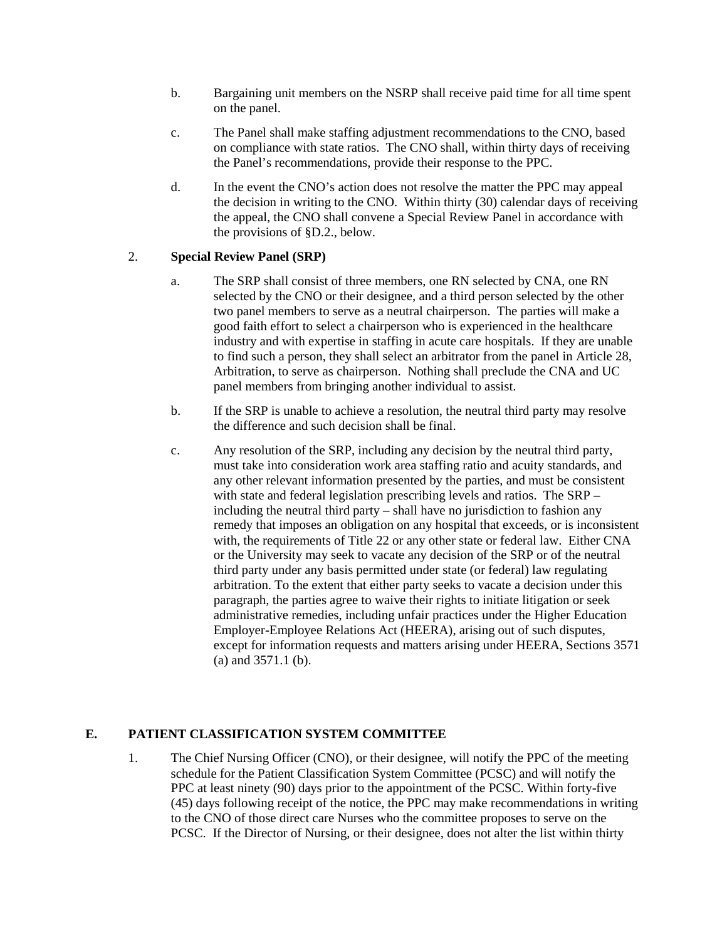- b. Bargaining unit members on the NSRP shall receive paid time for all time spent on the panel.
- c. The Panel shall make staffing adjustment recommendations to the CNO, based on compliance with state ratios. The CNO shall, within thirty days of receiving the Panel's recommendations, provide their response to the PPC.
- d. In the event the CNO's action does not resolve the matter the PPC may appeal the decision in writing to the CNO. Within thirty (30) calendar days of receiving the appeal, the CNO shall convene a Special Review Panel in accordance with the provisions of §D.2., below.

## 2. **Special Review Panel (SRP)**

- a. The SRP shall consist of three members, one RN selected by CNA, one RN selected by the CNO or their designee, and a third person selected by the other two panel members to serve as a neutral chairperson. The parties will make a good faith effort to select a chairperson who is experienced in the healthcare industry and with expertise in staffing in acute care hospitals. If they are unable to find such a person, they shall select an arbitrator from the panel in Article 28, Arbitration, to serve as chairperson. Nothing shall preclude the CNA and UC panel members from bringing another individual to assist.
- b. If the SRP is unable to achieve a resolution, the neutral third party may resolve the difference and such decision shall be final.
- c. Any resolution of the SRP, including any decision by the neutral third party, must take into consideration work area staffing ratio and acuity standards, and any other relevant information presented by the parties, and must be consistent with state and federal legislation prescribing levels and ratios. The SRP – including the neutral third party – shall have no jurisdiction to fashion any remedy that imposes an obligation on any hospital that exceeds, or is inconsistent with, the requirements of Title 22 or any other state or federal law. Either CNA or the University may seek to vacate any decision of the SRP or of the neutral third party under any basis permitted under state (or federal) law regulating arbitration. To the extent that either party seeks to vacate a decision under this paragraph, the parties agree to waive their rights to initiate litigation or seek administrative remedies, including unfair practices under the Higher Education Employer-Employee Relations Act (HEERA), arising out of such disputes, except for information requests and matters arising under HEERA, Sections 3571 (a) and 3571.1 (b).

## **E. PATIENT CLASSIFICATION SYSTEM COMMITTEE**

1. The Chief Nursing Officer (CNO), or their designee, will notify the PPC of the meeting schedule for the Patient Classification System Committee (PCSC) and will notify the PPC at least ninety (90) days prior to the appointment of the PCSC. Within forty-five (45) days following receipt of the notice, the PPC may make recommendations in writing to the CNO of those direct care Nurses who the committee proposes to serve on the PCSC. If the Director of Nursing, or their designee, does not alter the list within thirty